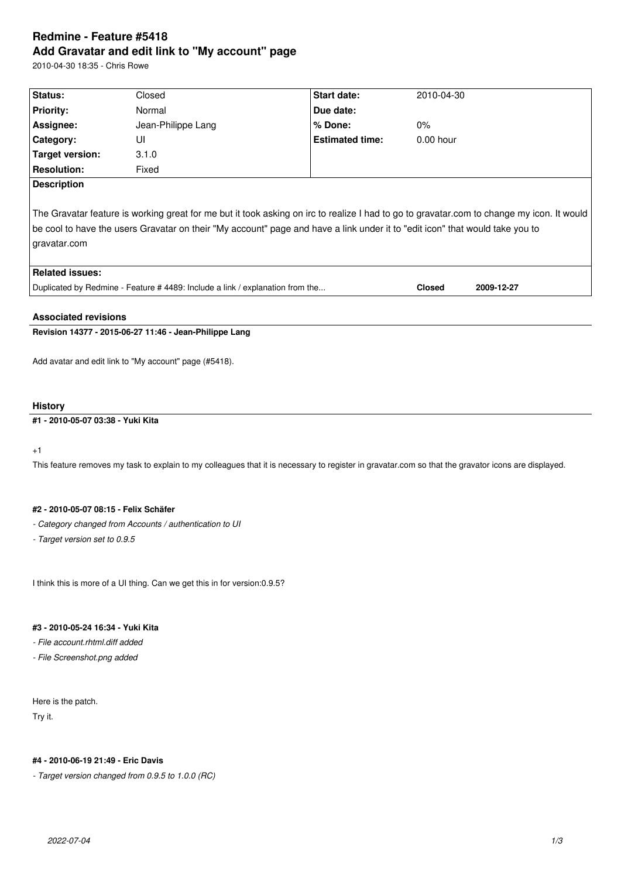# **Redmine - Feature #5418 Add Gravatar and edit link to "My account" page**

2010-04-30 18:35 - Chris Rowe

| Status:                                                                                                                                                                                                                                                                                                           | Closed             | <b>Start date:</b>     | 2010-04-30    |            |  |  |
|-------------------------------------------------------------------------------------------------------------------------------------------------------------------------------------------------------------------------------------------------------------------------------------------------------------------|--------------------|------------------------|---------------|------------|--|--|
| <b>Priority:</b>                                                                                                                                                                                                                                                                                                  | Normal             | Due date:              |               |            |  |  |
| Assignee:                                                                                                                                                                                                                                                                                                         | Jean-Philippe Lang | % Done:                | $0\%$         |            |  |  |
| <b>Category:</b>                                                                                                                                                                                                                                                                                                  | UI                 | <b>Estimated time:</b> | $0.00$ hour   |            |  |  |
| Target version:                                                                                                                                                                                                                                                                                                   | 3.1.0              |                        |               |            |  |  |
| <b>Resolution:</b>                                                                                                                                                                                                                                                                                                | Fixed              |                        |               |            |  |  |
| <b>Description</b><br>The Gravatar feature is working great for me but it took asking on irc to realize I had to go to gravatar.com to change my icon. It would<br>be cool to have the users Gravatar on their "My account" page and have a link under it to "edit icon" that would take you to<br>  gravatar.com |                    |                        |               |            |  |  |
| <b>Related issues:</b>                                                                                                                                                                                                                                                                                            |                    |                        |               |            |  |  |
| Duplicated by Redmine - Feature # 4489: Include a link / explanation from the                                                                                                                                                                                                                                     |                    |                        | <b>Closed</b> | 2009-12-27 |  |  |
|                                                                                                                                                                                                                                                                                                                   |                    |                        |               |            |  |  |

## **Associated revisions**

## **Revision 14377 - 2015-06-27 11:46 - Jean-Philippe Lang**

Add avatar and edit link to "My account" page (#5418).

## **History**

## **#1 - 2010-05-07 03:38 - Yuki Kita**

+1

This feature removes my task to explain to my colleagues that it is necessary to register in gravatar.com so that the gravator icons are displayed.

### **#2 - 2010-05-07 08:15 - Felix Schäfer**

- *Category changed from Accounts / authentication to UI*
- *Target version set to 0.9.5*

I think this is more of a UI thing. Can we get this in for version:0.9.5?

## **#3 - 2010-05-24 16:34 - Yuki Kita**

*- File account.rhtml.diff added*

*- File Screenshot.png added*

Here is the patch. Try it.

### **#4 - 2010-06-19 21:49 - Eric Davis**

*- Target version changed from 0.9.5 to 1.0.0 (RC)*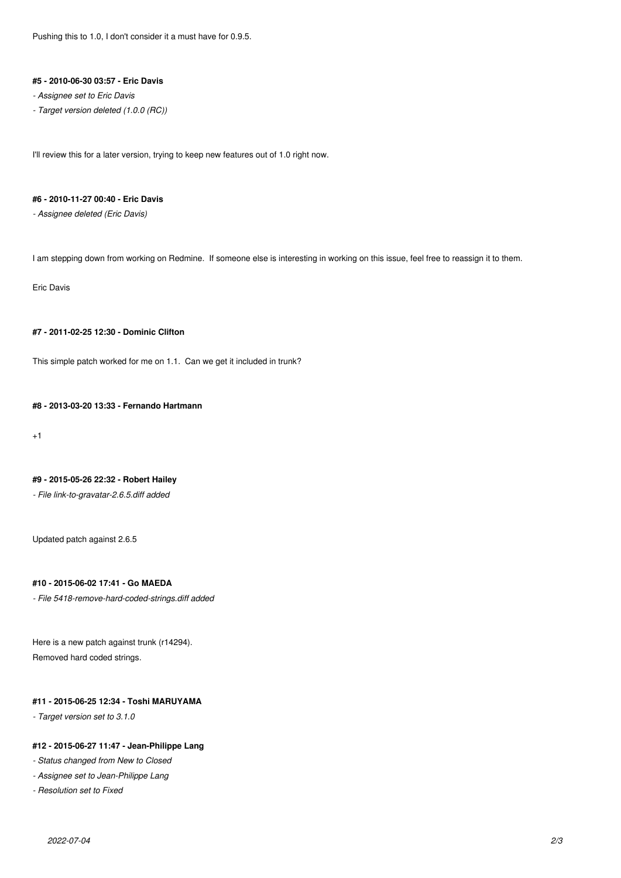#### **#5 - 2010-06-30 03:57 - Eric Davis**

- *Assignee set to Eric Davis*
- *Target version deleted (1.0.0 (RC))*

I'll review this for a later version, trying to keep new features out of 1.0 right now.

## **#6 - 2010-11-27 00:40 - Eric Davis**

*- Assignee deleted (Eric Davis)*

I am stepping down from working on Redmine. If someone else is interesting in working on this issue, feel free to reassign it to them.

Eric Davis

### **#7 - 2011-02-25 12:30 - Dominic Clifton**

This simple patch worked for me on 1.1. Can we get it included in trunk?

## **#8 - 2013-03-20 13:33 - Fernando Hartmann**

+1

#### **#9 - 2015-05-26 22:32 - Robert Hailey**

*- File link-to-gravatar-2.6.5.diff added*

Updated patch against 2.6.5

## **#10 - 2015-06-02 17:41 - Go MAEDA**

*- File 5418-remove-hard-coded-strings.diff added*

Here is a new patch against trunk (r14294). Removed hard coded strings.

## **#11 - 2015-06-25 12:34 - Toshi MARUYAMA**

*- Target version set to 3.1.0*

### **#12 - 2015-06-27 11:47 - Jean-Philippe Lang**

*- Status changed from New to Closed*

- *Assignee set to Jean-Philippe Lang*
- *Resolution set to Fixed*